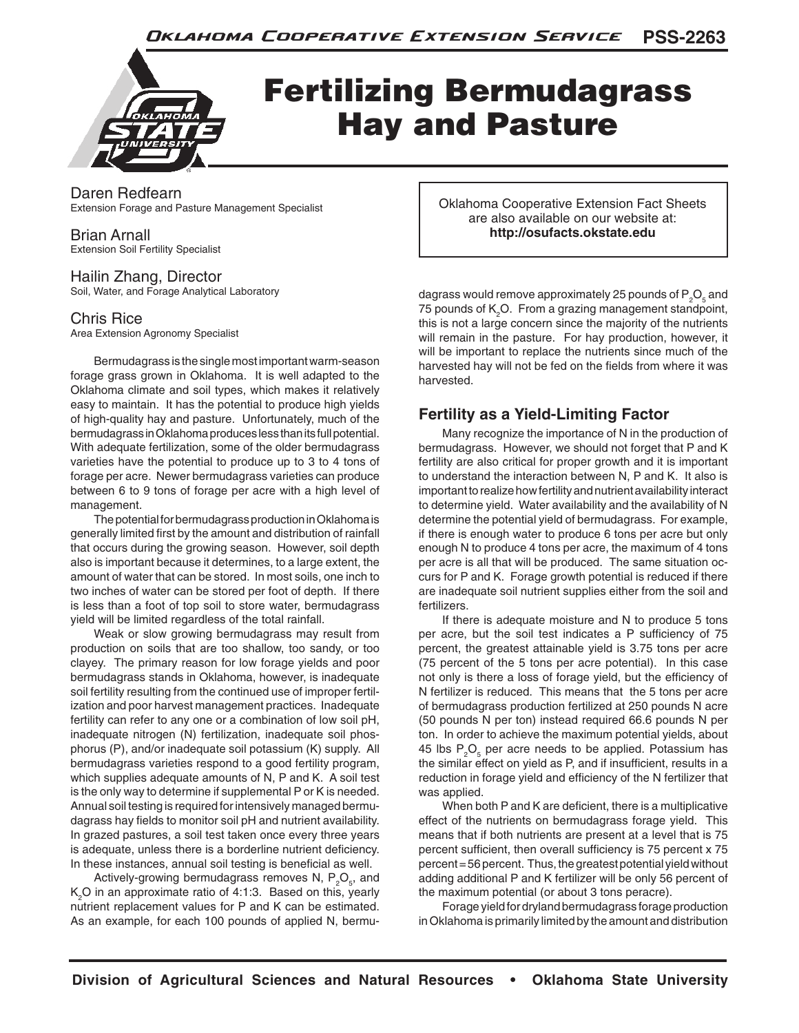

# Fertilizing Bermudagrass Hay and Pasture

Daren Redfearn Extension Forage and Pasture Management Specialist

## Brian Arnall

Extension Soil Fertility Specialist

#### Hailin Zhang, Director Soil, Water, and Forage Analytical Laboratory

## Chris Rice

Area Extension Agronomy Specialist

Bermudagrass is the single most important warm-season forage grass grown in Oklahoma. It is well adapted to the Oklahoma climate and soil types, which makes it relatively easy to maintain. It has the potential to produce high yields of high-quality hay and pasture. Unfortunately, much of the bermudagrass in Oklahoma produces less than its full potential. With adequate fertilization, some of the older bermudagrass varieties have the potential to produce up to 3 to 4 tons of forage per acre. Newer bermudagrass varieties can produce between 6 to 9 tons of forage per acre with a high level of management.

The potential for bermudagrass production in Oklahoma is generally limited first by the amount and distribution of rainfall that occurs during the growing season. However, soil depth also is important because it determines, to a large extent, the amount of water that can be stored. In most soils, one inch to two inches of water can be stored per foot of depth. If there is less than a foot of top soil to store water, bermudagrass yield will be limited regardless of the total rainfall.

Weak or slow growing bermudagrass may result from production on soils that are too shallow, too sandy, or too clayey. The primary reason for low forage yields and poor bermudagrass stands in Oklahoma, however, is inadequate soil fertility resulting from the continued use of improper fertilization and poor harvest management practices. Inadequate fertility can refer to any one or a combination of low soil pH, inadequate nitrogen (N) fertilization, inadequate soil phosphorus (P), and/or inadequate soil potassium (K) supply. All bermudagrass varieties respond to a good fertility program, which supplies adequate amounts of N, P and K. A soil test is the only way to determine if supplemental P or K is needed. Annual soil testing is required for intensively managed bermudagrass hay fields to monitor soil pH and nutrient availability. In grazed pastures, a soil test taken once every three years is adequate, unless there is a borderline nutrient deficiency. In these instances, annual soil testing is beneficial as well.

Actively-growing bermudagrass removes N,  $P_2O_5$ , and  $\mathsf{K}_{2}$ O in an approximate ratio of 4:1:3. Based on this, yearly nutrient replacement values for P and K can be estimated. As an example, for each 100 pounds of applied N, bermuOklahoma Cooperative Extension Fact Sheets are also available on our website at: **http://osufacts.okstate.edu**

dagrass would remove approximately 25 pounds of  $\mathsf{P}_\mathsf{2}\mathsf{O}_\mathsf{s}$  and 75 pounds of  $K_2O$ . From a grazing management standpoint, this is not a large concern since the majority of the nutrients will remain in the pasture. For hay production, however, it will be important to replace the nutrients since much of the harvested hay will not be fed on the fields from where it was harvested.

## **Fertility as a Yield-Limiting Factor**

Many recognize the importance of N in the production of bermudagrass. However, we should not forget that P and K fertility are also critical for proper growth and it is important to understand the interaction between N, P and K. It also is important to realize how fertility and nutrient availability interact to determine yield. Water availability and the availability of N determine the potential yield of bermudagrass. For example, if there is enough water to produce 6 tons per acre but only enough N to produce 4 tons per acre, the maximum of 4 tons per acre is all that will be produced. The same situation occurs for P and K. Forage growth potential is reduced if there are inadequate soil nutrient supplies either from the soil and fertilizers.

If there is adequate moisture and N to produce 5 tons per acre, but the soil test indicates a P sufficiency of 75 percent, the greatest attainable yield is 3.75 tons per acre (75 percent of the 5 tons per acre potential). In this case not only is there a loss of forage yield, but the efficiency of N fertilizer is reduced. This means that the 5 tons per acre of bermudagrass production fertilized at 250 pounds N acre (50 pounds N per ton) instead required 66.6 pounds N per ton. In order to achieve the maximum potential yields, about 45 lbs  $P_2O_5$  per acre needs to be applied. Potassium has the similar effect on yield as P, and if insufficient, results in a reduction in forage yield and efficiency of the N fertilizer that was applied.

When both P and K are deficient, there is a multiplicative effect of the nutrients on bermudagrass forage yield. This means that if both nutrients are present at a level that is 75 percent sufficient, then overall sufficiency is 75 percent x 75 percent = 56 percent. Thus, the greatest potential yield without adding additional P and K fertilizer will be only 56 percent of the maximum potential (or about 3 tons peracre).

Forage yield for dryland bermudagrass forage production in Oklahoma is primarily limited by the amount and distribution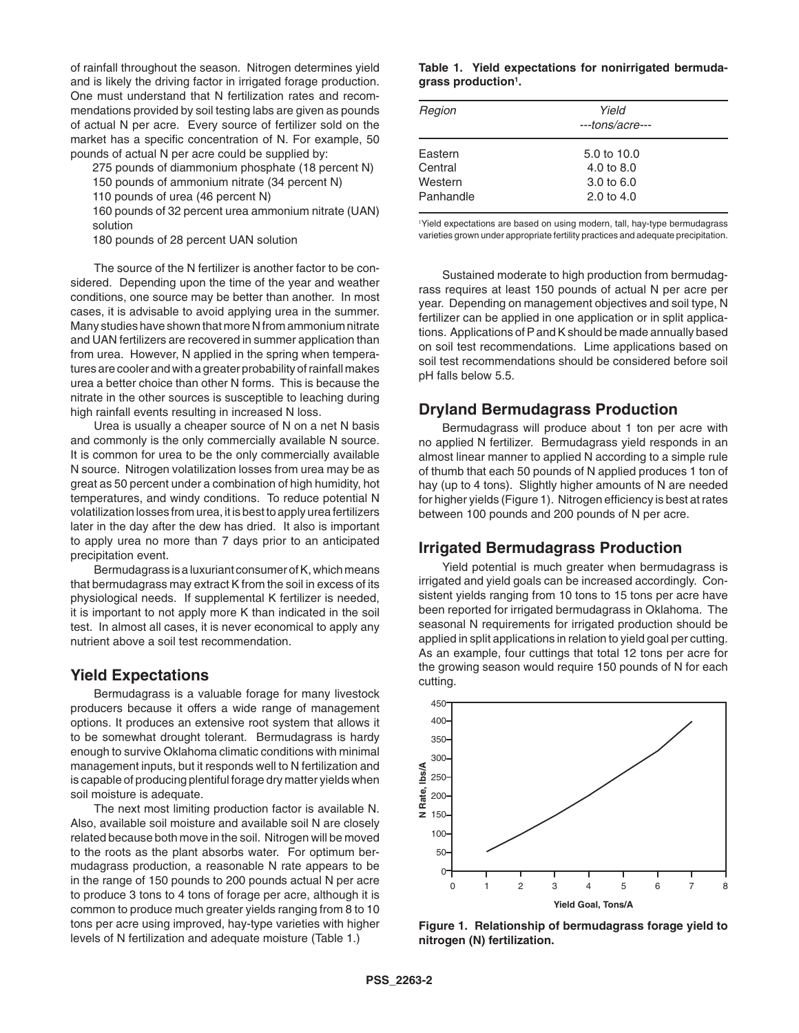of rainfall throughout the season. Nitrogen determines yield and is likely the driving factor in irrigated forage production. One must understand that N fertilization rates and recommendations provided by soil testing labs are given as pounds of actual N per acre. Every source of fertilizer sold on the market has a specific concentration of N. For example, 50 pounds of actual N per acre could be supplied by:

275 pounds of diammonium phosphate (18 percent N)

150 pounds of ammonium nitrate (34 percent N)

110 pounds of urea (46 percent N)

160 pounds of 32 percent urea ammonium nitrate (UAN) solution

180 pounds of 28 percent UAN solution

The source of the N fertilizer is another factor to be considered. Depending upon the time of the year and weather conditions, one source may be better than another. In most cases, it is advisable to avoid applying urea in the summer. Many studies have shown that more N from ammonium nitrate and UAN fertilizers are recovered in summer application than from urea. However, N applied in the spring when temperatures are cooler and with a greater probability of rainfall makes urea a better choice than other N forms. This is because the nitrate in the other sources is susceptible to leaching during high rainfall events resulting in increased N loss.

Urea is usually a cheaper source of N on a net N basis and commonly is the only commercially available N source. It is common for urea to be the only commercially available N source. Nitrogen volatilization losses from urea may be as great as 50 percent under a combination of high humidity, hot temperatures, and windy conditions. To reduce potential N volatilization losses from urea, it is best to apply urea fertilizers later in the day after the dew has dried. It also is important to apply urea no more than 7 days prior to an anticipated precipitation event.

Bermudagrass is a luxuriant consumer of K, which means that bermudagrass may extract K from the soil in excess of its physiological needs. If supplemental K fertilizer is needed, it is important to not apply more K than indicated in the soil test. In almost all cases, it is never economical to apply any nutrient above a soil test recommendation.

#### **Yield Expectations**

Bermudagrass is a valuable forage for many livestock producers because it offers a wide range of management options. It produces an extensive root system that allows it to be somewhat drought tolerant. Bermudagrass is hardy enough to survive Oklahoma climatic conditions with minimal management inputs, but it responds well to N fertilization and is capable of producing plentiful forage dry matter yields when soil moisture is adequate.

The next most limiting production factor is available N. Also, available soil moisture and available soil N are closely related because both move in the soil. Nitrogen will be moved to the roots as the plant absorbs water. For optimum bermudagrass production, a reasonable N rate appears to be in the range of 150 pounds to 200 pounds actual N per acre to produce 3 tons to 4 tons of forage per acre, although it is common to produce much greater yields ranging from 8 to 10 tons per acre using improved, hay-type varieties with higher levels of N fertilization and adequate moisture (Table 1.)

#### **Table 1. Yield expectations for nonirrigated bermudagrass production1 .**

| Region    | Yield<br>---tons/acre--- |  |
|-----------|--------------------------|--|
| Eastern   | 5.0 to 10.0              |  |
| Central   | 4.0 to 8.0               |  |
| Western   | 3.0 to $6.0$             |  |
| Panhandle | 2.0 to $4.0$             |  |

1 Yield expectations are based on using modern, tall, hay-type bermudagrass varieties grown under appropriate fertility practices and adequate precipitation.

Sustained moderate to high production from bermudagrass requires at least 150 pounds of actual N per acre per year. Depending on management objectives and soil type, N fertilizer can be applied in one application or in split applications. Applications of P and K should be made annually based on soil test recommendations. Lime applications based on soil test recommendations should be considered before soil pH falls below 5.5.

## **Dryland Bermudagrass Production**

Bermudagrass will produce about 1 ton per acre with no applied N fertilizer. Bermudagrass yield responds in an almost linear manner to applied N according to a simple rule of thumb that each 50 pounds of N applied produces 1 ton of hay (up to 4 tons). Slightly higher amounts of N are needed for higher yields (Figure 1). Nitrogen efficiency is best at rates between 100 pounds and 200 pounds of N per acre.

## **Irrigated Bermudagrass Production**

Yield potential is much greater when bermudagrass is irrigated and yield goals can be increased accordingly. Consistent yields ranging from 10 tons to 15 tons per acre have been reported for irrigated bermudagrass in Oklahoma. The seasonal N requirements for irrigated production should be applied in split applications in relation to yield goal per cutting. As an example, four cuttings that total 12 tons per acre for the growing season would require 150 pounds of N for each cutting.



**Figure 1. Relationship of bermudagrass forage yield to nitrogen (N) fertilization.**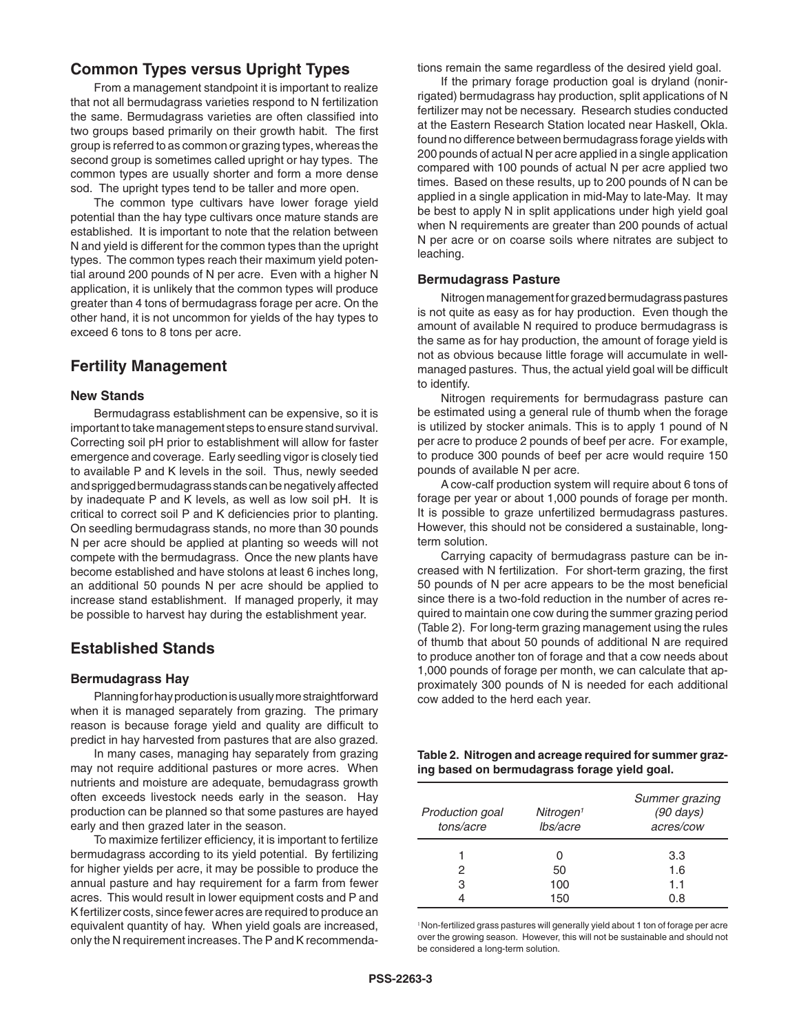## **Common Types versus Upright Types**

From a management standpoint it is important to realize that not all bermudagrass varieties respond to N fertilization the same. Bermudagrass varieties are often classified into two groups based primarily on their growth habit. The first group is referred to as common or grazing types, whereas the second group is sometimes called upright or hay types. The common types are usually shorter and form a more dense sod. The upright types tend to be taller and more open.

The common type cultivars have lower forage yield potential than the hay type cultivars once mature stands are established. It is important to note that the relation between N and yield is different for the common types than the upright types. The common types reach their maximum yield potential around 200 pounds of N per acre. Even with a higher N application, it is unlikely that the common types will produce greater than 4 tons of bermudagrass forage per acre. On the other hand, it is not uncommon for yields of the hay types to exceed 6 tons to 8 tons per acre.

## **Fertility Management**

#### **New Stands**

Bermudagrass establishment can be expensive, so it is important to take management steps to ensure stand survival. Correcting soil pH prior to establishment will allow for faster emergence and coverage. Early seedling vigor is closely tied to available P and K levels in the soil. Thus, newly seeded and sprigged bermudagrass stands can be negatively affected by inadequate P and K levels, as well as low soil pH. It is critical to correct soil P and K deficiencies prior to planting. On seedling bermudagrass stands, no more than 30 pounds N per acre should be applied at planting so weeds will not compete with the bermudagrass. Once the new plants have become established and have stolons at least 6 inches long, an additional 50 pounds N per acre should be applied to increase stand establishment. If managed properly, it may be possible to harvest hay during the establishment year.

#### **Established Stands**

#### **Bermudagrass Hay**

Planning for hay production is usually more straightforward when it is managed separately from grazing. The primary reason is because forage yield and quality are difficult to predict in hay harvested from pastures that are also grazed.

In many cases, managing hay separately from grazing may not require additional pastures or more acres. When nutrients and moisture are adequate, bemudagrass growth often exceeds livestock needs early in the season. Hay production can be planned so that some pastures are hayed early and then grazed later in the season.

To maximize fertilizer efficiency, it is important to fertilize bermudagrass according to its yield potential. By fertilizing for higher yields per acre, it may be possible to produce the annual pasture and hay requirement for a farm from fewer acres. This would result in lower equipment costs and P and K fertilizer costs, since fewer acres are required to produce an equivalent quantity of hay. When yield goals are increased, only the N requirement increases. The P and K recommendations remain the same regardless of the desired yield goal.

If the primary forage production goal is dryland (nonirrigated) bermudagrass hay production, split applications of N fertilizer may not be necessary. Research studies conducted at the Eastern Research Station located near Haskell, Okla. found no difference between bermudagrass forage yields with 200 pounds of actual N per acre applied in a single application compared with 100 pounds of actual N per acre applied two times. Based on these results, up to 200 pounds of N can be applied in a single application in mid-May to late-May. It may be best to apply N in split applications under high yield goal when N requirements are greater than 200 pounds of actual N per acre or on coarse soils where nitrates are subject to leaching.

#### **Bermudagrass Pasture**

Nitrogen management for grazed bermudagrass pastures is not quite as easy as for hay production. Even though the amount of available N required to produce bermudagrass is the same as for hay production, the amount of forage yield is not as obvious because little forage will accumulate in wellmanaged pastures. Thus, the actual yield goal will be difficult to identify.

 Nitrogen requirements for bermudagrass pasture can be estimated using a general rule of thumb when the forage is utilized by stocker animals. This is to apply 1 pound of N per acre to produce 2 pounds of beef per acre. For example, to produce 300 pounds of beef per acre would require 150 pounds of available N per acre.

A cow-calf production system will require about 6 tons of forage per year or about 1,000 pounds of forage per month. It is possible to graze unfertilized bermudagrass pastures. However, this should not be considered a sustainable, longterm solution.

Carrying capacity of bermudagrass pasture can be increased with N fertilization. For short-term grazing, the first 50 pounds of N per acre appears to be the most beneficial since there is a two-fold reduction in the number of acres required to maintain one cow during the summer grazing period (Table 2). For long-term grazing management using the rules of thumb that about 50 pounds of additional N are required to produce another ton of forage and that a cow needs about 1,000 pounds of forage per month, we can calculate that approximately 300 pounds of N is needed for each additional cow added to the herd each year.

**Table 2. Nitrogen and acreage required for summer grazing based on bermudagrass forage yield goal.**

| Production goal<br>tons/acre | Nitrogen <sup>1</sup><br>lbs/acre | Summer grazing<br>$(90 \text{ days})$<br>acres/cow |
|------------------------------|-----------------------------------|----------------------------------------------------|
|                              |                                   | 3.3                                                |
| 2                            | 50                                | 1.6                                                |
| 3                            | 100                               | 1.1                                                |
|                              | 150                               | 0 ጸ                                                |

<sup>1</sup> Non-fertilized grass pastures will generally yield about 1 ton of forage per acre over the growing season. However, this will not be sustainable and should not be considered a long-term solution.